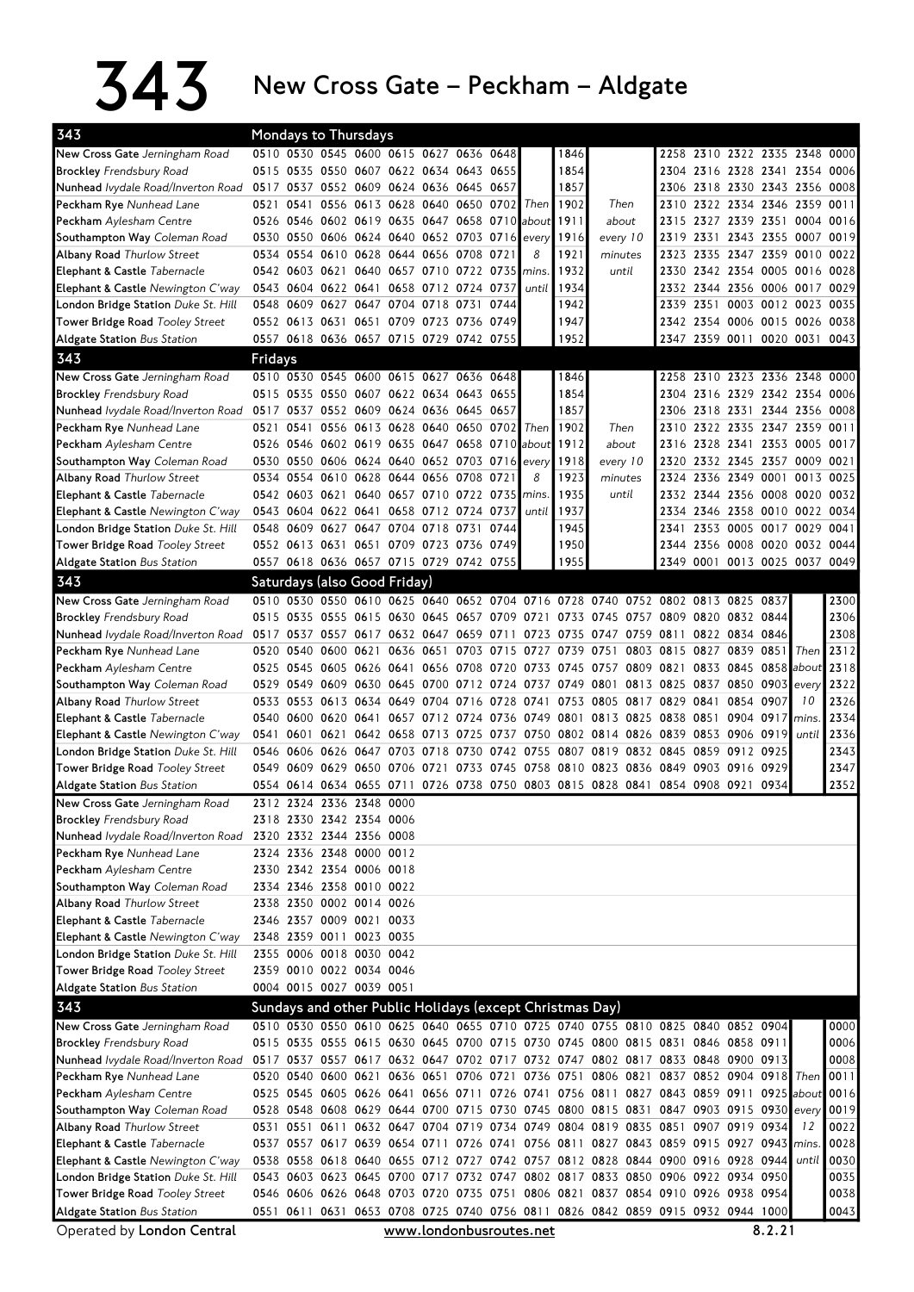## $343$  New Cross Gate – Peckham – Aldgate

| Mondays to Thursdays<br>0510 0530 0545 0600 0615 0627 0636 0648<br>New Cross Gate Jerningham Road<br>1846<br>2258 2310 2322 2335 2348 0000<br>1854<br>0515 0535 0550 0607 0622 0634 0643 0655<br>2304 2316 2328 2341 2354 0006<br><b>Brockley</b> Frendsbury Road<br>Nunhead Ivydale Road/Inverton Road<br>0517 0537 0552 0609 0624 0636 0645 0657<br>1857<br>2306 2318 2330 2343 2356 0008<br>Peckham Rye Nunhead Lane<br>0541<br>0556 0613 0628 0640 0650 0702 Then<br>1902<br>2310 2322 2334 2346 2359 0011<br>0521<br>Then<br>0526 0546 0602 0619 0635 0647 0658 0710 about<br>1911<br>about<br>2327 2339 2351 0004 0016<br>Peckham Aylesham Centre<br>2315<br>0530 0550 0606 0624 0640 0652 0703 0716 every<br>2331 2343 2355 0007 0019<br>Southampton Way Coleman Road<br>1916<br>every 10<br>2319<br><b>Albany Road Thurlow Street</b><br>0534 0554 0610 0628 0644 0656 0708<br>8<br>1921<br>minutes<br>2335 2347 2359 0010 0022<br>0721<br>2323<br>Elephant & Castle Tabernacle<br>0542 0603 0621 0640 0657 0710 0722 0735<br>1932<br>2330 2342 2354 0005 0016 0028<br>mins.<br>until<br>0543 0604 0622 0641 0658 0712 0724 0737<br>1934<br>2332 2344 2356 0006 0017 0029<br>Elephant & Castle Newington C'way<br>until<br>London Bridge Station Duke St. Hill<br>0548 0609 0627 0647 0704 0718 0731<br>1942<br>2351<br>0003 0012 0023 0035<br>0744<br>2339<br>Tower Bridge Road Tooley Street<br>0552 0613 0631 0651 0709 0723 0736 0749<br>1947<br>2342 2354 0006 0015 0026 0038<br>2347 2359 0011 0020 0031 0043<br>0557 0618 0636 0657 0715 0729 0742 0755<br>1952<br><b>Aldgate Station</b> Bus Station<br>343<br>Fridays<br>New Cross Gate Jerningham Road<br>0510 0530 0545 0600 0615 0627 0636 0648<br>1846<br>2258 2310 2323 2336 2348 0000<br>1854<br>0515 0535 0550 0607 0622 0634 0643 0655<br>2304 2316 2329 2342 2354 0006<br><b>Brockley</b> Frendsbury Road<br>Nunhead lvydale Road/Inverton Road 0517 0537 0552 0609 0624 0636 0645 0657<br>1857<br>2306 2318 2331 2344 2356 0008<br>Peckham Rye Nunhead Lane<br>0521<br>0541<br>0556 0613 0628 0640 0650 0702<br>Then  <br>1902<br>Then<br>2310<br>2322 2335 2347 2359 0011<br>0526 0546 0602 0619 0635 0647 0658 0710 about<br>1912<br>2316 2328 2341 2353 0005 0017<br>Peckham Aylesham Centre<br>about<br>0530 0550 0606 0624 0640 0652 0703 0716 every<br>2332 2345 2357 0009 0021<br>Southampton Way Coleman Road<br>1918<br>every 10<br>2320<br><b>Albany Road Thurlow Street</b><br>0534 0554 0610 0628 0644 0656 0708 0721<br>8<br>1923<br>2324 2336 2349 0001 0013 0025<br>minutes<br>1935<br>0542 0603 0621 0640 0657 0710 0722 0735 mins.<br>2332 2344 2356 0008 0020 0032<br><b>Elephant &amp; Castle</b> Tabernacle<br>until<br>2346 2358 0010 0022 0034<br>0543 0604 0622 0641 0658 0712 0724 0737<br>1937<br>Elephant & Castle Newington C'way<br>2334<br>until<br>London Bridge Station Duke St. Hill<br>0548 0609 0627 0647 0704 0718 0731 0744<br>1945<br>2353 0005 0017 0029 0041<br>2341<br>2356 0008 0020 0032 0044<br>Tower Bridge Road Tooley Street<br>0552 0613 0631 0651 0709 0723 0736 0749<br>1950<br>2344<br>0557 0618 0636 0657 0715 0729 0742 0755<br><b>Aldgate Station Bus Station</b><br>1955<br>2349 0001 0013 0025 0037 0049<br>343<br>Saturdays (also Good Friday)<br>0510 0530 0550 0610 0625 0640 0652 0704 0716 0728 0740 0752 0802 0813 0825 0837<br>2300<br>New Cross Gate Jerningham Road<br>2306<br><b>Brockley</b> Frendsbury Road<br>0515 0535 0555 0615 0630 0645 0657 0709 0721 0733 0745 0757 0809 0820 0832 0844<br>2308<br>Nunhead Ivydale Road/Inverton Road<br>0517 0537 0557 0617 0632 0647 0659 0711 0723 0735 0747 0759 0811 0822 0834 0846<br>Peckham Rye Nunhead Lane<br>0520 0540<br>0600 0621 0636 0651 0703 0715 0727 0739 0751 0803 0815<br>0827 0839 0851<br>2312<br>$I$ Then<br>2318<br>0525 0545 0605 0626 0641<br>0656 0708 0720 0733 0745 0757 0809 0821<br>0833 0845 0858 about<br>Peckham Aylesham Centre<br>2322<br>0529 0549 0609 0630 0645 0700 0712 0724 0737 0749 0801 0813 0825 0837 0850 0903<br>Southampton Way Coleman Road<br>every<br><b>Albany Road Thurlow Street</b><br>0533 0553 0613 0634 0649 0704 0716 0728 0741 0753 0805 0817 0829 0841<br>0854 0907<br>10<br>2326<br>2334<br>0540 0600 0620 0641 0657 0712 0724 0736 0749 0801 0813 0825 0838 0851<br>0904 0917<br><b>Elephant &amp; Castle</b> Tabernacle<br>mins.<br>2336<br>0601 0621 0642 0658 0713 0725 0737 0750 0802 0814 0826 0839 0853 0906 0919<br>until<br>Elephant & Castle Newington C'way<br>0541<br>0546 0606 0626 0647 0703 0718 0730 0742 0755 0807 0819 0832 0845 0859<br>2343<br>London Bridge Station Duke St. Hill<br>0912 0925<br>2347<br>0549 0609 0629 0650 0706 0721 0733 0745 0758 0810 0823 0836 0849 0903 0916 0929<br><b>Tower Bridge Road Tooley Street</b><br>2352<br>Aldgate Station Bus Station<br>0554 0614 0634 0655 0711 0726 0738 0750 0803 0815 0828 0841 0854 0908 0921 0934<br>New Cross Gate Jerningham Road<br>2312 2324 2336 2348 0000<br><b>Brockley</b> Frendsbury Road<br>2318 2330 2342 2354 0006<br>Nunhead lyydale Road/Inverton Road 2320 2332 2344 2356 0008<br>Peckham Rye Nunhead Lane<br>2324 2336 2348 0000 0012<br>2330 2342 2354 0006 0018<br>Peckham Aylesham Centre<br>2334 2346 2358 0010 0022<br>Southampton Way Coleman Road<br><b>Albany Road Thurlow Street</b><br>2338 2350 0002 0014 0026<br>Elephant & Castle Tabernacle<br>2346 2357 0009 0021 0033<br>2348 2359 0011 0023 0035<br>Elephant & Castle Newington C'way<br>2355 0006 0018 0030 0042<br>London Bridge Station Duke St. Hill<br>2359 0010 0022 0034 0046<br>Tower Bridge Road Tooley Street<br>0004 0015 0027 0039 0051<br><b>Aldgate Station Bus Station</b><br>343<br>Sundays and other Public Holidays (except Christmas Day)<br>0510 0530 0550 0610 0625 0640 0655 0710 0725 0740 0755 0810 0825 0840 0852 0904<br>New Cross Gate Jerningham Road<br>0000<br><b>Brockley Frendsbury Road</b><br>0515 0535 0555 0615 0630 0645 0700 0715 0730 0745 0800 0815 0831 0846 0858 0911<br>0006<br>Nunhead Ivydale Road/Inverton Road<br>0517 0537 0557 0617 0632 0647 0702 0717 0732 0747 0802 0817 0833 0848 0900 0913<br>0008<br>Peckham Rye Nunhead Lane<br>0520 0540 0600 0621 0636 0651 0706 0721 0736 0751 0806 0821 0837 0852 0904 0918 Then<br>0011<br>0525 0545 0605 0626 0641 0656 0711 0726 0741 0756 0811 0827 0843 0859 0911 0925 about<br>0016<br>Peckham Aylesham Centre<br>0528 0548 0608 0629 0644 0700 0715 0730 0745 0800 0815 0831 0847 0903 0915 0930 every<br>0019<br>Southampton Way Coleman Road<br><b>Albany Road Thurlow Street</b><br>0531 0551 0611 0632 0647 0704 0719 0734 0749 0804 0819 0835 0851 0907 0919 0934<br>0022<br>12<br>Elephant & Castle Tabernacle<br>0537 0557 0617 0639 0654 0711 0726 0741 0756 0811 0827 0843 0859 0915 0927 0943 mins<br>0028<br>0538 0558 0618 0640 0655 0712 0727 0742 0757 0812 0828 0844 0900 0916 0928 0944 until<br>0030<br>Elephant & Castle Newington C'way<br>London Bridge Station Duke St. Hill<br>0543 0603 0623 0645 0700 0717 0732 0747 0802 0817 0833 0850 0906 0922 0934 0950<br>0035<br>Tower Bridge Road Tooley Street<br>0546 0606 0626 0648 0703 0720 0735 0751 0806 0821 0837 0854 0910 0926 0938 0954<br>0038<br>0551 0611 0631 0653 0708 0725 0740 0756 0811 0826 0842 0859 0915 0932 0944 1000<br>0043<br><b>Aldgate Station Bus Station</b><br>8.2.21<br>www.londonbusroutes.net | 343                        |  |  |  |  |  |  |  |  |  |  |
|----------------------------------------------------------------------------------------------------------------------------------------------------------------------------------------------------------------------------------------------------------------------------------------------------------------------------------------------------------------------------------------------------------------------------------------------------------------------------------------------------------------------------------------------------------------------------------------------------------------------------------------------------------------------------------------------------------------------------------------------------------------------------------------------------------------------------------------------------------------------------------------------------------------------------------------------------------------------------------------------------------------------------------------------------------------------------------------------------------------------------------------------------------------------------------------------------------------------------------------------------------------------------------------------------------------------------------------------------------------------------------------------------------------------------------------------------------------------------------------------------------------------------------------------------------------------------------------------------------------------------------------------------------------------------------------------------------------------------------------------------------------------------------------------------------------------------------------------------------------------------------------------------------------------------------------------------------------------------------------------------------------------------------------------------------------------------------------------------------------------------------------------------------------------------------------------------------------------------------------------------------------------------------------------------------------------------------------------------------------------------------------------------------------------------------------------------------------------------------------------------------------------------------------------------------------------------------------------------------------------------------------------------------------------------------------------------------------------------------------------------------------------------------------------------------------------------------------------------------------------------------------------------------------------------------------------------------------------------------------------------------------------------------------------------------------------------------------------------------------------------------------------------------------------------------------------------------------------------------------------------------------------------------------------------------------------------------------------------------------------------------------------------------------------------------------------------------------------------------------------------------------------------------------------------------------------------------------------------------------------------------------------------------------------------------------------------------------------------------------------------------------------------------------------------------------------------------------------------------------------------------------------------------------------------------------------------------------------------------------------------------------------------------------------------------------------------------------------------------------------------------------------------------------------------------------------------------------------------------------------------------------------------------------------------------------------------------------------------------------------------------------------------------------------------------------------------------------------------------------------------------------------------------------------------------------------------------------------------------------------------------------------------------------------------------------------------------------------------------------------------------------------------------------------------------------------------------------------------------------------------------------------------------------------------------------------------------------------------------------------------------------------------------------------------------------------------------------------------------------------------------------------------------------------------------------------------------------------------------------------------------------------------------------------------------------------------------------------------------------------------------------------------------------------------------------------------------------------------------------------------------------------------------------------------------------------------------------------------------------------------------------------------------------------------------------------------------------------------------------------------------------------------------------------------------------------------------------------------------------------------------------------------------------------------------------------------------------------------------------------------------------------------------------------------------------------------------------------------------------------------------------------------------------------------------------------------------------------------------------------------------------------------------------------------------------------------------------------------------------------------------------------------------------------------------------------------------------------------------------------------------------------------------------------------------------------------------------------------------------------------------------------------------------------------------------------------------------------------------------------------------------------------------------------------------------------------------------------------------------------------------------------------------------------------------------------------------------------------------------------------------------------------------------------------------------------------------------------------------------------------------------------------------------------------------------------------------------------------------------------------------------------------------------------------------------------------------------------------------------------------------------------------------------------------|----------------------------|--|--|--|--|--|--|--|--|--|--|
|                                                                                                                                                                                                                                                                                                                                                                                                                                                                                                                                                                                                                                                                                                                                                                                                                                                                                                                                                                                                                                                                                                                                                                                                                                                                                                                                                                                                                                                                                                                                                                                                                                                                                                                                                                                                                                                                                                                                                                                                                                                                                                                                                                                                                                                                                                                                                                                                                                                                                                                                                                                                                                                                                                                                                                                                                                                                                                                                                                                                                                                                                                                                                                                                                                                                                                                                                                                                                                                                                                                                                                                                                                                                                                                                                                                                                                                                                                                                                                                                                                                                                                                                                                                                                                                                                                                                                                                                                                                                                                                                                                                                                                                                                                                                                                                                                                                                                                                                                                                                                                                                                                                                                                                                                                                                                                                                                                                                                                                                                                                                                                                                                                                                                                                                                                                                                                                                                                                                                                                                                                                                                                                                                                                                                                                                                                                                                                                                                                                                                                                                                                                                                                                                                                                                                                                                                                                                                                                                                                                                                                                                                                                                                                                                                                                                                                                                                                                                                            |                            |  |  |  |  |  |  |  |  |  |  |
|                                                                                                                                                                                                                                                                                                                                                                                                                                                                                                                                                                                                                                                                                                                                                                                                                                                                                                                                                                                                                                                                                                                                                                                                                                                                                                                                                                                                                                                                                                                                                                                                                                                                                                                                                                                                                                                                                                                                                                                                                                                                                                                                                                                                                                                                                                                                                                                                                                                                                                                                                                                                                                                                                                                                                                                                                                                                                                                                                                                                                                                                                                                                                                                                                                                                                                                                                                                                                                                                                                                                                                                                                                                                                                                                                                                                                                                                                                                                                                                                                                                                                                                                                                                                                                                                                                                                                                                                                                                                                                                                                                                                                                                                                                                                                                                                                                                                                                                                                                                                                                                                                                                                                                                                                                                                                                                                                                                                                                                                                                                                                                                                                                                                                                                                                                                                                                                                                                                                                                                                                                                                                                                                                                                                                                                                                                                                                                                                                                                                                                                                                                                                                                                                                                                                                                                                                                                                                                                                                                                                                                                                                                                                                                                                                                                                                                                                                                                                                            |                            |  |  |  |  |  |  |  |  |  |  |
|                                                                                                                                                                                                                                                                                                                                                                                                                                                                                                                                                                                                                                                                                                                                                                                                                                                                                                                                                                                                                                                                                                                                                                                                                                                                                                                                                                                                                                                                                                                                                                                                                                                                                                                                                                                                                                                                                                                                                                                                                                                                                                                                                                                                                                                                                                                                                                                                                                                                                                                                                                                                                                                                                                                                                                                                                                                                                                                                                                                                                                                                                                                                                                                                                                                                                                                                                                                                                                                                                                                                                                                                                                                                                                                                                                                                                                                                                                                                                                                                                                                                                                                                                                                                                                                                                                                                                                                                                                                                                                                                                                                                                                                                                                                                                                                                                                                                                                                                                                                                                                                                                                                                                                                                                                                                                                                                                                                                                                                                                                                                                                                                                                                                                                                                                                                                                                                                                                                                                                                                                                                                                                                                                                                                                                                                                                                                                                                                                                                                                                                                                                                                                                                                                                                                                                                                                                                                                                                                                                                                                                                                                                                                                                                                                                                                                                                                                                                                                            |                            |  |  |  |  |  |  |  |  |  |  |
|                                                                                                                                                                                                                                                                                                                                                                                                                                                                                                                                                                                                                                                                                                                                                                                                                                                                                                                                                                                                                                                                                                                                                                                                                                                                                                                                                                                                                                                                                                                                                                                                                                                                                                                                                                                                                                                                                                                                                                                                                                                                                                                                                                                                                                                                                                                                                                                                                                                                                                                                                                                                                                                                                                                                                                                                                                                                                                                                                                                                                                                                                                                                                                                                                                                                                                                                                                                                                                                                                                                                                                                                                                                                                                                                                                                                                                                                                                                                                                                                                                                                                                                                                                                                                                                                                                                                                                                                                                                                                                                                                                                                                                                                                                                                                                                                                                                                                                                                                                                                                                                                                                                                                                                                                                                                                                                                                                                                                                                                                                                                                                                                                                                                                                                                                                                                                                                                                                                                                                                                                                                                                                                                                                                                                                                                                                                                                                                                                                                                                                                                                                                                                                                                                                                                                                                                                                                                                                                                                                                                                                                                                                                                                                                                                                                                                                                                                                                                                            |                            |  |  |  |  |  |  |  |  |  |  |
|                                                                                                                                                                                                                                                                                                                                                                                                                                                                                                                                                                                                                                                                                                                                                                                                                                                                                                                                                                                                                                                                                                                                                                                                                                                                                                                                                                                                                                                                                                                                                                                                                                                                                                                                                                                                                                                                                                                                                                                                                                                                                                                                                                                                                                                                                                                                                                                                                                                                                                                                                                                                                                                                                                                                                                                                                                                                                                                                                                                                                                                                                                                                                                                                                                                                                                                                                                                                                                                                                                                                                                                                                                                                                                                                                                                                                                                                                                                                                                                                                                                                                                                                                                                                                                                                                                                                                                                                                                                                                                                                                                                                                                                                                                                                                                                                                                                                                                                                                                                                                                                                                                                                                                                                                                                                                                                                                                                                                                                                                                                                                                                                                                                                                                                                                                                                                                                                                                                                                                                                                                                                                                                                                                                                                                                                                                                                                                                                                                                                                                                                                                                                                                                                                                                                                                                                                                                                                                                                                                                                                                                                                                                                                                                                                                                                                                                                                                                                                            |                            |  |  |  |  |  |  |  |  |  |  |
|                                                                                                                                                                                                                                                                                                                                                                                                                                                                                                                                                                                                                                                                                                                                                                                                                                                                                                                                                                                                                                                                                                                                                                                                                                                                                                                                                                                                                                                                                                                                                                                                                                                                                                                                                                                                                                                                                                                                                                                                                                                                                                                                                                                                                                                                                                                                                                                                                                                                                                                                                                                                                                                                                                                                                                                                                                                                                                                                                                                                                                                                                                                                                                                                                                                                                                                                                                                                                                                                                                                                                                                                                                                                                                                                                                                                                                                                                                                                                                                                                                                                                                                                                                                                                                                                                                                                                                                                                                                                                                                                                                                                                                                                                                                                                                                                                                                                                                                                                                                                                                                                                                                                                                                                                                                                                                                                                                                                                                                                                                                                                                                                                                                                                                                                                                                                                                                                                                                                                                                                                                                                                                                                                                                                                                                                                                                                                                                                                                                                                                                                                                                                                                                                                                                                                                                                                                                                                                                                                                                                                                                                                                                                                                                                                                                                                                                                                                                                                            |                            |  |  |  |  |  |  |  |  |  |  |
|                                                                                                                                                                                                                                                                                                                                                                                                                                                                                                                                                                                                                                                                                                                                                                                                                                                                                                                                                                                                                                                                                                                                                                                                                                                                                                                                                                                                                                                                                                                                                                                                                                                                                                                                                                                                                                                                                                                                                                                                                                                                                                                                                                                                                                                                                                                                                                                                                                                                                                                                                                                                                                                                                                                                                                                                                                                                                                                                                                                                                                                                                                                                                                                                                                                                                                                                                                                                                                                                                                                                                                                                                                                                                                                                                                                                                                                                                                                                                                                                                                                                                                                                                                                                                                                                                                                                                                                                                                                                                                                                                                                                                                                                                                                                                                                                                                                                                                                                                                                                                                                                                                                                                                                                                                                                                                                                                                                                                                                                                                                                                                                                                                                                                                                                                                                                                                                                                                                                                                                                                                                                                                                                                                                                                                                                                                                                                                                                                                                                                                                                                                                                                                                                                                                                                                                                                                                                                                                                                                                                                                                                                                                                                                                                                                                                                                                                                                                                                            |                            |  |  |  |  |  |  |  |  |  |  |
|                                                                                                                                                                                                                                                                                                                                                                                                                                                                                                                                                                                                                                                                                                                                                                                                                                                                                                                                                                                                                                                                                                                                                                                                                                                                                                                                                                                                                                                                                                                                                                                                                                                                                                                                                                                                                                                                                                                                                                                                                                                                                                                                                                                                                                                                                                                                                                                                                                                                                                                                                                                                                                                                                                                                                                                                                                                                                                                                                                                                                                                                                                                                                                                                                                                                                                                                                                                                                                                                                                                                                                                                                                                                                                                                                                                                                                                                                                                                                                                                                                                                                                                                                                                                                                                                                                                                                                                                                                                                                                                                                                                                                                                                                                                                                                                                                                                                                                                                                                                                                                                                                                                                                                                                                                                                                                                                                                                                                                                                                                                                                                                                                                                                                                                                                                                                                                                                                                                                                                                                                                                                                                                                                                                                                                                                                                                                                                                                                                                                                                                                                                                                                                                                                                                                                                                                                                                                                                                                                                                                                                                                                                                                                                                                                                                                                                                                                                                                                            |                            |  |  |  |  |  |  |  |  |  |  |
|                                                                                                                                                                                                                                                                                                                                                                                                                                                                                                                                                                                                                                                                                                                                                                                                                                                                                                                                                                                                                                                                                                                                                                                                                                                                                                                                                                                                                                                                                                                                                                                                                                                                                                                                                                                                                                                                                                                                                                                                                                                                                                                                                                                                                                                                                                                                                                                                                                                                                                                                                                                                                                                                                                                                                                                                                                                                                                                                                                                                                                                                                                                                                                                                                                                                                                                                                                                                                                                                                                                                                                                                                                                                                                                                                                                                                                                                                                                                                                                                                                                                                                                                                                                                                                                                                                                                                                                                                                                                                                                                                                                                                                                                                                                                                                                                                                                                                                                                                                                                                                                                                                                                                                                                                                                                                                                                                                                                                                                                                                                                                                                                                                                                                                                                                                                                                                                                                                                                                                                                                                                                                                                                                                                                                                                                                                                                                                                                                                                                                                                                                                                                                                                                                                                                                                                                                                                                                                                                                                                                                                                                                                                                                                                                                                                                                                                                                                                                                            |                            |  |  |  |  |  |  |  |  |  |  |
|                                                                                                                                                                                                                                                                                                                                                                                                                                                                                                                                                                                                                                                                                                                                                                                                                                                                                                                                                                                                                                                                                                                                                                                                                                                                                                                                                                                                                                                                                                                                                                                                                                                                                                                                                                                                                                                                                                                                                                                                                                                                                                                                                                                                                                                                                                                                                                                                                                                                                                                                                                                                                                                                                                                                                                                                                                                                                                                                                                                                                                                                                                                                                                                                                                                                                                                                                                                                                                                                                                                                                                                                                                                                                                                                                                                                                                                                                                                                                                                                                                                                                                                                                                                                                                                                                                                                                                                                                                                                                                                                                                                                                                                                                                                                                                                                                                                                                                                                                                                                                                                                                                                                                                                                                                                                                                                                                                                                                                                                                                                                                                                                                                                                                                                                                                                                                                                                                                                                                                                                                                                                                                                                                                                                                                                                                                                                                                                                                                                                                                                                                                                                                                                                                                                                                                                                                                                                                                                                                                                                                                                                                                                                                                                                                                                                                                                                                                                                                            |                            |  |  |  |  |  |  |  |  |  |  |
|                                                                                                                                                                                                                                                                                                                                                                                                                                                                                                                                                                                                                                                                                                                                                                                                                                                                                                                                                                                                                                                                                                                                                                                                                                                                                                                                                                                                                                                                                                                                                                                                                                                                                                                                                                                                                                                                                                                                                                                                                                                                                                                                                                                                                                                                                                                                                                                                                                                                                                                                                                                                                                                                                                                                                                                                                                                                                                                                                                                                                                                                                                                                                                                                                                                                                                                                                                                                                                                                                                                                                                                                                                                                                                                                                                                                                                                                                                                                                                                                                                                                                                                                                                                                                                                                                                                                                                                                                                                                                                                                                                                                                                                                                                                                                                                                                                                                                                                                                                                                                                                                                                                                                                                                                                                                                                                                                                                                                                                                                                                                                                                                                                                                                                                                                                                                                                                                                                                                                                                                                                                                                                                                                                                                                                                                                                                                                                                                                                                                                                                                                                                                                                                                                                                                                                                                                                                                                                                                                                                                                                                                                                                                                                                                                                                                                                                                                                                                                            |                            |  |  |  |  |  |  |  |  |  |  |
|                                                                                                                                                                                                                                                                                                                                                                                                                                                                                                                                                                                                                                                                                                                                                                                                                                                                                                                                                                                                                                                                                                                                                                                                                                                                                                                                                                                                                                                                                                                                                                                                                                                                                                                                                                                                                                                                                                                                                                                                                                                                                                                                                                                                                                                                                                                                                                                                                                                                                                                                                                                                                                                                                                                                                                                                                                                                                                                                                                                                                                                                                                                                                                                                                                                                                                                                                                                                                                                                                                                                                                                                                                                                                                                                                                                                                                                                                                                                                                                                                                                                                                                                                                                                                                                                                                                                                                                                                                                                                                                                                                                                                                                                                                                                                                                                                                                                                                                                                                                                                                                                                                                                                                                                                                                                                                                                                                                                                                                                                                                                                                                                                                                                                                                                                                                                                                                                                                                                                                                                                                                                                                                                                                                                                                                                                                                                                                                                                                                                                                                                                                                                                                                                                                                                                                                                                                                                                                                                                                                                                                                                                                                                                                                                                                                                                                                                                                                                                            |                            |  |  |  |  |  |  |  |  |  |  |
|                                                                                                                                                                                                                                                                                                                                                                                                                                                                                                                                                                                                                                                                                                                                                                                                                                                                                                                                                                                                                                                                                                                                                                                                                                                                                                                                                                                                                                                                                                                                                                                                                                                                                                                                                                                                                                                                                                                                                                                                                                                                                                                                                                                                                                                                                                                                                                                                                                                                                                                                                                                                                                                                                                                                                                                                                                                                                                                                                                                                                                                                                                                                                                                                                                                                                                                                                                                                                                                                                                                                                                                                                                                                                                                                                                                                                                                                                                                                                                                                                                                                                                                                                                                                                                                                                                                                                                                                                                                                                                                                                                                                                                                                                                                                                                                                                                                                                                                                                                                                                                                                                                                                                                                                                                                                                                                                                                                                                                                                                                                                                                                                                                                                                                                                                                                                                                                                                                                                                                                                                                                                                                                                                                                                                                                                                                                                                                                                                                                                                                                                                                                                                                                                                                                                                                                                                                                                                                                                                                                                                                                                                                                                                                                                                                                                                                                                                                                                                            |                            |  |  |  |  |  |  |  |  |  |  |
|                                                                                                                                                                                                                                                                                                                                                                                                                                                                                                                                                                                                                                                                                                                                                                                                                                                                                                                                                                                                                                                                                                                                                                                                                                                                                                                                                                                                                                                                                                                                                                                                                                                                                                                                                                                                                                                                                                                                                                                                                                                                                                                                                                                                                                                                                                                                                                                                                                                                                                                                                                                                                                                                                                                                                                                                                                                                                                                                                                                                                                                                                                                                                                                                                                                                                                                                                                                                                                                                                                                                                                                                                                                                                                                                                                                                                                                                                                                                                                                                                                                                                                                                                                                                                                                                                                                                                                                                                                                                                                                                                                                                                                                                                                                                                                                                                                                                                                                                                                                                                                                                                                                                                                                                                                                                                                                                                                                                                                                                                                                                                                                                                                                                                                                                                                                                                                                                                                                                                                                                                                                                                                                                                                                                                                                                                                                                                                                                                                                                                                                                                                                                                                                                                                                                                                                                                                                                                                                                                                                                                                                                                                                                                                                                                                                                                                                                                                                                                            |                            |  |  |  |  |  |  |  |  |  |  |
|                                                                                                                                                                                                                                                                                                                                                                                                                                                                                                                                                                                                                                                                                                                                                                                                                                                                                                                                                                                                                                                                                                                                                                                                                                                                                                                                                                                                                                                                                                                                                                                                                                                                                                                                                                                                                                                                                                                                                                                                                                                                                                                                                                                                                                                                                                                                                                                                                                                                                                                                                                                                                                                                                                                                                                                                                                                                                                                                                                                                                                                                                                                                                                                                                                                                                                                                                                                                                                                                                                                                                                                                                                                                                                                                                                                                                                                                                                                                                                                                                                                                                                                                                                                                                                                                                                                                                                                                                                                                                                                                                                                                                                                                                                                                                                                                                                                                                                                                                                                                                                                                                                                                                                                                                                                                                                                                                                                                                                                                                                                                                                                                                                                                                                                                                                                                                                                                                                                                                                                                                                                                                                                                                                                                                                                                                                                                                                                                                                                                                                                                                                                                                                                                                                                                                                                                                                                                                                                                                                                                                                                                                                                                                                                                                                                                                                                                                                                                                            |                            |  |  |  |  |  |  |  |  |  |  |
|                                                                                                                                                                                                                                                                                                                                                                                                                                                                                                                                                                                                                                                                                                                                                                                                                                                                                                                                                                                                                                                                                                                                                                                                                                                                                                                                                                                                                                                                                                                                                                                                                                                                                                                                                                                                                                                                                                                                                                                                                                                                                                                                                                                                                                                                                                                                                                                                                                                                                                                                                                                                                                                                                                                                                                                                                                                                                                                                                                                                                                                                                                                                                                                                                                                                                                                                                                                                                                                                                                                                                                                                                                                                                                                                                                                                                                                                                                                                                                                                                                                                                                                                                                                                                                                                                                                                                                                                                                                                                                                                                                                                                                                                                                                                                                                                                                                                                                                                                                                                                                                                                                                                                                                                                                                                                                                                                                                                                                                                                                                                                                                                                                                                                                                                                                                                                                                                                                                                                                                                                                                                                                                                                                                                                                                                                                                                                                                                                                                                                                                                                                                                                                                                                                                                                                                                                                                                                                                                                                                                                                                                                                                                                                                                                                                                                                                                                                                                                            |                            |  |  |  |  |  |  |  |  |  |  |
|                                                                                                                                                                                                                                                                                                                                                                                                                                                                                                                                                                                                                                                                                                                                                                                                                                                                                                                                                                                                                                                                                                                                                                                                                                                                                                                                                                                                                                                                                                                                                                                                                                                                                                                                                                                                                                                                                                                                                                                                                                                                                                                                                                                                                                                                                                                                                                                                                                                                                                                                                                                                                                                                                                                                                                                                                                                                                                                                                                                                                                                                                                                                                                                                                                                                                                                                                                                                                                                                                                                                                                                                                                                                                                                                                                                                                                                                                                                                                                                                                                                                                                                                                                                                                                                                                                                                                                                                                                                                                                                                                                                                                                                                                                                                                                                                                                                                                                                                                                                                                                                                                                                                                                                                                                                                                                                                                                                                                                                                                                                                                                                                                                                                                                                                                                                                                                                                                                                                                                                                                                                                                                                                                                                                                                                                                                                                                                                                                                                                                                                                                                                                                                                                                                                                                                                                                                                                                                                                                                                                                                                                                                                                                                                                                                                                                                                                                                                                                            |                            |  |  |  |  |  |  |  |  |  |  |
|                                                                                                                                                                                                                                                                                                                                                                                                                                                                                                                                                                                                                                                                                                                                                                                                                                                                                                                                                                                                                                                                                                                                                                                                                                                                                                                                                                                                                                                                                                                                                                                                                                                                                                                                                                                                                                                                                                                                                                                                                                                                                                                                                                                                                                                                                                                                                                                                                                                                                                                                                                                                                                                                                                                                                                                                                                                                                                                                                                                                                                                                                                                                                                                                                                                                                                                                                                                                                                                                                                                                                                                                                                                                                                                                                                                                                                                                                                                                                                                                                                                                                                                                                                                                                                                                                                                                                                                                                                                                                                                                                                                                                                                                                                                                                                                                                                                                                                                                                                                                                                                                                                                                                                                                                                                                                                                                                                                                                                                                                                                                                                                                                                                                                                                                                                                                                                                                                                                                                                                                                                                                                                                                                                                                                                                                                                                                                                                                                                                                                                                                                                                                                                                                                                                                                                                                                                                                                                                                                                                                                                                                                                                                                                                                                                                                                                                                                                                                                            |                            |  |  |  |  |  |  |  |  |  |  |
|                                                                                                                                                                                                                                                                                                                                                                                                                                                                                                                                                                                                                                                                                                                                                                                                                                                                                                                                                                                                                                                                                                                                                                                                                                                                                                                                                                                                                                                                                                                                                                                                                                                                                                                                                                                                                                                                                                                                                                                                                                                                                                                                                                                                                                                                                                                                                                                                                                                                                                                                                                                                                                                                                                                                                                                                                                                                                                                                                                                                                                                                                                                                                                                                                                                                                                                                                                                                                                                                                                                                                                                                                                                                                                                                                                                                                                                                                                                                                                                                                                                                                                                                                                                                                                                                                                                                                                                                                                                                                                                                                                                                                                                                                                                                                                                                                                                                                                                                                                                                                                                                                                                                                                                                                                                                                                                                                                                                                                                                                                                                                                                                                                                                                                                                                                                                                                                                                                                                                                                                                                                                                                                                                                                                                                                                                                                                                                                                                                                                                                                                                                                                                                                                                                                                                                                                                                                                                                                                                                                                                                                                                                                                                                                                                                                                                                                                                                                                                            |                            |  |  |  |  |  |  |  |  |  |  |
|                                                                                                                                                                                                                                                                                                                                                                                                                                                                                                                                                                                                                                                                                                                                                                                                                                                                                                                                                                                                                                                                                                                                                                                                                                                                                                                                                                                                                                                                                                                                                                                                                                                                                                                                                                                                                                                                                                                                                                                                                                                                                                                                                                                                                                                                                                                                                                                                                                                                                                                                                                                                                                                                                                                                                                                                                                                                                                                                                                                                                                                                                                                                                                                                                                                                                                                                                                                                                                                                                                                                                                                                                                                                                                                                                                                                                                                                                                                                                                                                                                                                                                                                                                                                                                                                                                                                                                                                                                                                                                                                                                                                                                                                                                                                                                                                                                                                                                                                                                                                                                                                                                                                                                                                                                                                                                                                                                                                                                                                                                                                                                                                                                                                                                                                                                                                                                                                                                                                                                                                                                                                                                                                                                                                                                                                                                                                                                                                                                                                                                                                                                                                                                                                                                                                                                                                                                                                                                                                                                                                                                                                                                                                                                                                                                                                                                                                                                                                                            |                            |  |  |  |  |  |  |  |  |  |  |
|                                                                                                                                                                                                                                                                                                                                                                                                                                                                                                                                                                                                                                                                                                                                                                                                                                                                                                                                                                                                                                                                                                                                                                                                                                                                                                                                                                                                                                                                                                                                                                                                                                                                                                                                                                                                                                                                                                                                                                                                                                                                                                                                                                                                                                                                                                                                                                                                                                                                                                                                                                                                                                                                                                                                                                                                                                                                                                                                                                                                                                                                                                                                                                                                                                                                                                                                                                                                                                                                                                                                                                                                                                                                                                                                                                                                                                                                                                                                                                                                                                                                                                                                                                                                                                                                                                                                                                                                                                                                                                                                                                                                                                                                                                                                                                                                                                                                                                                                                                                                                                                                                                                                                                                                                                                                                                                                                                                                                                                                                                                                                                                                                                                                                                                                                                                                                                                                                                                                                                                                                                                                                                                                                                                                                                                                                                                                                                                                                                                                                                                                                                                                                                                                                                                                                                                                                                                                                                                                                                                                                                                                                                                                                                                                                                                                                                                                                                                                                            |                            |  |  |  |  |  |  |  |  |  |  |
|                                                                                                                                                                                                                                                                                                                                                                                                                                                                                                                                                                                                                                                                                                                                                                                                                                                                                                                                                                                                                                                                                                                                                                                                                                                                                                                                                                                                                                                                                                                                                                                                                                                                                                                                                                                                                                                                                                                                                                                                                                                                                                                                                                                                                                                                                                                                                                                                                                                                                                                                                                                                                                                                                                                                                                                                                                                                                                                                                                                                                                                                                                                                                                                                                                                                                                                                                                                                                                                                                                                                                                                                                                                                                                                                                                                                                                                                                                                                                                                                                                                                                                                                                                                                                                                                                                                                                                                                                                                                                                                                                                                                                                                                                                                                                                                                                                                                                                                                                                                                                                                                                                                                                                                                                                                                                                                                                                                                                                                                                                                                                                                                                                                                                                                                                                                                                                                                                                                                                                                                                                                                                                                                                                                                                                                                                                                                                                                                                                                                                                                                                                                                                                                                                                                                                                                                                                                                                                                                                                                                                                                                                                                                                                                                                                                                                                                                                                                                                            |                            |  |  |  |  |  |  |  |  |  |  |
|                                                                                                                                                                                                                                                                                                                                                                                                                                                                                                                                                                                                                                                                                                                                                                                                                                                                                                                                                                                                                                                                                                                                                                                                                                                                                                                                                                                                                                                                                                                                                                                                                                                                                                                                                                                                                                                                                                                                                                                                                                                                                                                                                                                                                                                                                                                                                                                                                                                                                                                                                                                                                                                                                                                                                                                                                                                                                                                                                                                                                                                                                                                                                                                                                                                                                                                                                                                                                                                                                                                                                                                                                                                                                                                                                                                                                                                                                                                                                                                                                                                                                                                                                                                                                                                                                                                                                                                                                                                                                                                                                                                                                                                                                                                                                                                                                                                                                                                                                                                                                                                                                                                                                                                                                                                                                                                                                                                                                                                                                                                                                                                                                                                                                                                                                                                                                                                                                                                                                                                                                                                                                                                                                                                                                                                                                                                                                                                                                                                                                                                                                                                                                                                                                                                                                                                                                                                                                                                                                                                                                                                                                                                                                                                                                                                                                                                                                                                                                            |                            |  |  |  |  |  |  |  |  |  |  |
|                                                                                                                                                                                                                                                                                                                                                                                                                                                                                                                                                                                                                                                                                                                                                                                                                                                                                                                                                                                                                                                                                                                                                                                                                                                                                                                                                                                                                                                                                                                                                                                                                                                                                                                                                                                                                                                                                                                                                                                                                                                                                                                                                                                                                                                                                                                                                                                                                                                                                                                                                                                                                                                                                                                                                                                                                                                                                                                                                                                                                                                                                                                                                                                                                                                                                                                                                                                                                                                                                                                                                                                                                                                                                                                                                                                                                                                                                                                                                                                                                                                                                                                                                                                                                                                                                                                                                                                                                                                                                                                                                                                                                                                                                                                                                                                                                                                                                                                                                                                                                                                                                                                                                                                                                                                                                                                                                                                                                                                                                                                                                                                                                                                                                                                                                                                                                                                                                                                                                                                                                                                                                                                                                                                                                                                                                                                                                                                                                                                                                                                                                                                                                                                                                                                                                                                                                                                                                                                                                                                                                                                                                                                                                                                                                                                                                                                                                                                                                            |                            |  |  |  |  |  |  |  |  |  |  |
|                                                                                                                                                                                                                                                                                                                                                                                                                                                                                                                                                                                                                                                                                                                                                                                                                                                                                                                                                                                                                                                                                                                                                                                                                                                                                                                                                                                                                                                                                                                                                                                                                                                                                                                                                                                                                                                                                                                                                                                                                                                                                                                                                                                                                                                                                                                                                                                                                                                                                                                                                                                                                                                                                                                                                                                                                                                                                                                                                                                                                                                                                                                                                                                                                                                                                                                                                                                                                                                                                                                                                                                                                                                                                                                                                                                                                                                                                                                                                                                                                                                                                                                                                                                                                                                                                                                                                                                                                                                                                                                                                                                                                                                                                                                                                                                                                                                                                                                                                                                                                                                                                                                                                                                                                                                                                                                                                                                                                                                                                                                                                                                                                                                                                                                                                                                                                                                                                                                                                                                                                                                                                                                                                                                                                                                                                                                                                                                                                                                                                                                                                                                                                                                                                                                                                                                                                                                                                                                                                                                                                                                                                                                                                                                                                                                                                                                                                                                                                            |                            |  |  |  |  |  |  |  |  |  |  |
|                                                                                                                                                                                                                                                                                                                                                                                                                                                                                                                                                                                                                                                                                                                                                                                                                                                                                                                                                                                                                                                                                                                                                                                                                                                                                                                                                                                                                                                                                                                                                                                                                                                                                                                                                                                                                                                                                                                                                                                                                                                                                                                                                                                                                                                                                                                                                                                                                                                                                                                                                                                                                                                                                                                                                                                                                                                                                                                                                                                                                                                                                                                                                                                                                                                                                                                                                                                                                                                                                                                                                                                                                                                                                                                                                                                                                                                                                                                                                                                                                                                                                                                                                                                                                                                                                                                                                                                                                                                                                                                                                                                                                                                                                                                                                                                                                                                                                                                                                                                                                                                                                                                                                                                                                                                                                                                                                                                                                                                                                                                                                                                                                                                                                                                                                                                                                                                                                                                                                                                                                                                                                                                                                                                                                                                                                                                                                                                                                                                                                                                                                                                                                                                                                                                                                                                                                                                                                                                                                                                                                                                                                                                                                                                                                                                                                                                                                                                                                            |                            |  |  |  |  |  |  |  |  |  |  |
|                                                                                                                                                                                                                                                                                                                                                                                                                                                                                                                                                                                                                                                                                                                                                                                                                                                                                                                                                                                                                                                                                                                                                                                                                                                                                                                                                                                                                                                                                                                                                                                                                                                                                                                                                                                                                                                                                                                                                                                                                                                                                                                                                                                                                                                                                                                                                                                                                                                                                                                                                                                                                                                                                                                                                                                                                                                                                                                                                                                                                                                                                                                                                                                                                                                                                                                                                                                                                                                                                                                                                                                                                                                                                                                                                                                                                                                                                                                                                                                                                                                                                                                                                                                                                                                                                                                                                                                                                                                                                                                                                                                                                                                                                                                                                                                                                                                                                                                                                                                                                                                                                                                                                                                                                                                                                                                                                                                                                                                                                                                                                                                                                                                                                                                                                                                                                                                                                                                                                                                                                                                                                                                                                                                                                                                                                                                                                                                                                                                                                                                                                                                                                                                                                                                                                                                                                                                                                                                                                                                                                                                                                                                                                                                                                                                                                                                                                                                                                            |                            |  |  |  |  |  |  |  |  |  |  |
|                                                                                                                                                                                                                                                                                                                                                                                                                                                                                                                                                                                                                                                                                                                                                                                                                                                                                                                                                                                                                                                                                                                                                                                                                                                                                                                                                                                                                                                                                                                                                                                                                                                                                                                                                                                                                                                                                                                                                                                                                                                                                                                                                                                                                                                                                                                                                                                                                                                                                                                                                                                                                                                                                                                                                                                                                                                                                                                                                                                                                                                                                                                                                                                                                                                                                                                                                                                                                                                                                                                                                                                                                                                                                                                                                                                                                                                                                                                                                                                                                                                                                                                                                                                                                                                                                                                                                                                                                                                                                                                                                                                                                                                                                                                                                                                                                                                                                                                                                                                                                                                                                                                                                                                                                                                                                                                                                                                                                                                                                                                                                                                                                                                                                                                                                                                                                                                                                                                                                                                                                                                                                                                                                                                                                                                                                                                                                                                                                                                                                                                                                                                                                                                                                                                                                                                                                                                                                                                                                                                                                                                                                                                                                                                                                                                                                                                                                                                                                            |                            |  |  |  |  |  |  |  |  |  |  |
|                                                                                                                                                                                                                                                                                                                                                                                                                                                                                                                                                                                                                                                                                                                                                                                                                                                                                                                                                                                                                                                                                                                                                                                                                                                                                                                                                                                                                                                                                                                                                                                                                                                                                                                                                                                                                                                                                                                                                                                                                                                                                                                                                                                                                                                                                                                                                                                                                                                                                                                                                                                                                                                                                                                                                                                                                                                                                                                                                                                                                                                                                                                                                                                                                                                                                                                                                                                                                                                                                                                                                                                                                                                                                                                                                                                                                                                                                                                                                                                                                                                                                                                                                                                                                                                                                                                                                                                                                                                                                                                                                                                                                                                                                                                                                                                                                                                                                                                                                                                                                                                                                                                                                                                                                                                                                                                                                                                                                                                                                                                                                                                                                                                                                                                                                                                                                                                                                                                                                                                                                                                                                                                                                                                                                                                                                                                                                                                                                                                                                                                                                                                                                                                                                                                                                                                                                                                                                                                                                                                                                                                                                                                                                                                                                                                                                                                                                                                                                            |                            |  |  |  |  |  |  |  |  |  |  |
|                                                                                                                                                                                                                                                                                                                                                                                                                                                                                                                                                                                                                                                                                                                                                                                                                                                                                                                                                                                                                                                                                                                                                                                                                                                                                                                                                                                                                                                                                                                                                                                                                                                                                                                                                                                                                                                                                                                                                                                                                                                                                                                                                                                                                                                                                                                                                                                                                                                                                                                                                                                                                                                                                                                                                                                                                                                                                                                                                                                                                                                                                                                                                                                                                                                                                                                                                                                                                                                                                                                                                                                                                                                                                                                                                                                                                                                                                                                                                                                                                                                                                                                                                                                                                                                                                                                                                                                                                                                                                                                                                                                                                                                                                                                                                                                                                                                                                                                                                                                                                                                                                                                                                                                                                                                                                                                                                                                                                                                                                                                                                                                                                                                                                                                                                                                                                                                                                                                                                                                                                                                                                                                                                                                                                                                                                                                                                                                                                                                                                                                                                                                                                                                                                                                                                                                                                                                                                                                                                                                                                                                                                                                                                                                                                                                                                                                                                                                                                            |                            |  |  |  |  |  |  |  |  |  |  |
|                                                                                                                                                                                                                                                                                                                                                                                                                                                                                                                                                                                                                                                                                                                                                                                                                                                                                                                                                                                                                                                                                                                                                                                                                                                                                                                                                                                                                                                                                                                                                                                                                                                                                                                                                                                                                                                                                                                                                                                                                                                                                                                                                                                                                                                                                                                                                                                                                                                                                                                                                                                                                                                                                                                                                                                                                                                                                                                                                                                                                                                                                                                                                                                                                                                                                                                                                                                                                                                                                                                                                                                                                                                                                                                                                                                                                                                                                                                                                                                                                                                                                                                                                                                                                                                                                                                                                                                                                                                                                                                                                                                                                                                                                                                                                                                                                                                                                                                                                                                                                                                                                                                                                                                                                                                                                                                                                                                                                                                                                                                                                                                                                                                                                                                                                                                                                                                                                                                                                                                                                                                                                                                                                                                                                                                                                                                                                                                                                                                                                                                                                                                                                                                                                                                                                                                                                                                                                                                                                                                                                                                                                                                                                                                                                                                                                                                                                                                                                            |                            |  |  |  |  |  |  |  |  |  |  |
|                                                                                                                                                                                                                                                                                                                                                                                                                                                                                                                                                                                                                                                                                                                                                                                                                                                                                                                                                                                                                                                                                                                                                                                                                                                                                                                                                                                                                                                                                                                                                                                                                                                                                                                                                                                                                                                                                                                                                                                                                                                                                                                                                                                                                                                                                                                                                                                                                                                                                                                                                                                                                                                                                                                                                                                                                                                                                                                                                                                                                                                                                                                                                                                                                                                                                                                                                                                                                                                                                                                                                                                                                                                                                                                                                                                                                                                                                                                                                                                                                                                                                                                                                                                                                                                                                                                                                                                                                                                                                                                                                                                                                                                                                                                                                                                                                                                                                                                                                                                                                                                                                                                                                                                                                                                                                                                                                                                                                                                                                                                                                                                                                                                                                                                                                                                                                                                                                                                                                                                                                                                                                                                                                                                                                                                                                                                                                                                                                                                                                                                                                                                                                                                                                                                                                                                                                                                                                                                                                                                                                                                                                                                                                                                                                                                                                                                                                                                                                            |                            |  |  |  |  |  |  |  |  |  |  |
|                                                                                                                                                                                                                                                                                                                                                                                                                                                                                                                                                                                                                                                                                                                                                                                                                                                                                                                                                                                                                                                                                                                                                                                                                                                                                                                                                                                                                                                                                                                                                                                                                                                                                                                                                                                                                                                                                                                                                                                                                                                                                                                                                                                                                                                                                                                                                                                                                                                                                                                                                                                                                                                                                                                                                                                                                                                                                                                                                                                                                                                                                                                                                                                                                                                                                                                                                                                                                                                                                                                                                                                                                                                                                                                                                                                                                                                                                                                                                                                                                                                                                                                                                                                                                                                                                                                                                                                                                                                                                                                                                                                                                                                                                                                                                                                                                                                                                                                                                                                                                                                                                                                                                                                                                                                                                                                                                                                                                                                                                                                                                                                                                                                                                                                                                                                                                                                                                                                                                                                                                                                                                                                                                                                                                                                                                                                                                                                                                                                                                                                                                                                                                                                                                                                                                                                                                                                                                                                                                                                                                                                                                                                                                                                                                                                                                                                                                                                                                            |                            |  |  |  |  |  |  |  |  |  |  |
|                                                                                                                                                                                                                                                                                                                                                                                                                                                                                                                                                                                                                                                                                                                                                                                                                                                                                                                                                                                                                                                                                                                                                                                                                                                                                                                                                                                                                                                                                                                                                                                                                                                                                                                                                                                                                                                                                                                                                                                                                                                                                                                                                                                                                                                                                                                                                                                                                                                                                                                                                                                                                                                                                                                                                                                                                                                                                                                                                                                                                                                                                                                                                                                                                                                                                                                                                                                                                                                                                                                                                                                                                                                                                                                                                                                                                                                                                                                                                                                                                                                                                                                                                                                                                                                                                                                                                                                                                                                                                                                                                                                                                                                                                                                                                                                                                                                                                                                                                                                                                                                                                                                                                                                                                                                                                                                                                                                                                                                                                                                                                                                                                                                                                                                                                                                                                                                                                                                                                                                                                                                                                                                                                                                                                                                                                                                                                                                                                                                                                                                                                                                                                                                                                                                                                                                                                                                                                                                                                                                                                                                                                                                                                                                                                                                                                                                                                                                                                            |                            |  |  |  |  |  |  |  |  |  |  |
|                                                                                                                                                                                                                                                                                                                                                                                                                                                                                                                                                                                                                                                                                                                                                                                                                                                                                                                                                                                                                                                                                                                                                                                                                                                                                                                                                                                                                                                                                                                                                                                                                                                                                                                                                                                                                                                                                                                                                                                                                                                                                                                                                                                                                                                                                                                                                                                                                                                                                                                                                                                                                                                                                                                                                                                                                                                                                                                                                                                                                                                                                                                                                                                                                                                                                                                                                                                                                                                                                                                                                                                                                                                                                                                                                                                                                                                                                                                                                                                                                                                                                                                                                                                                                                                                                                                                                                                                                                                                                                                                                                                                                                                                                                                                                                                                                                                                                                                                                                                                                                                                                                                                                                                                                                                                                                                                                                                                                                                                                                                                                                                                                                                                                                                                                                                                                                                                                                                                                                                                                                                                                                                                                                                                                                                                                                                                                                                                                                                                                                                                                                                                                                                                                                                                                                                                                                                                                                                                                                                                                                                                                                                                                                                                                                                                                                                                                                                                                            |                            |  |  |  |  |  |  |  |  |  |  |
|                                                                                                                                                                                                                                                                                                                                                                                                                                                                                                                                                                                                                                                                                                                                                                                                                                                                                                                                                                                                                                                                                                                                                                                                                                                                                                                                                                                                                                                                                                                                                                                                                                                                                                                                                                                                                                                                                                                                                                                                                                                                                                                                                                                                                                                                                                                                                                                                                                                                                                                                                                                                                                                                                                                                                                                                                                                                                                                                                                                                                                                                                                                                                                                                                                                                                                                                                                                                                                                                                                                                                                                                                                                                                                                                                                                                                                                                                                                                                                                                                                                                                                                                                                                                                                                                                                                                                                                                                                                                                                                                                                                                                                                                                                                                                                                                                                                                                                                                                                                                                                                                                                                                                                                                                                                                                                                                                                                                                                                                                                                                                                                                                                                                                                                                                                                                                                                                                                                                                                                                                                                                                                                                                                                                                                                                                                                                                                                                                                                                                                                                                                                                                                                                                                                                                                                                                                                                                                                                                                                                                                                                                                                                                                                                                                                                                                                                                                                                                            |                            |  |  |  |  |  |  |  |  |  |  |
|                                                                                                                                                                                                                                                                                                                                                                                                                                                                                                                                                                                                                                                                                                                                                                                                                                                                                                                                                                                                                                                                                                                                                                                                                                                                                                                                                                                                                                                                                                                                                                                                                                                                                                                                                                                                                                                                                                                                                                                                                                                                                                                                                                                                                                                                                                                                                                                                                                                                                                                                                                                                                                                                                                                                                                                                                                                                                                                                                                                                                                                                                                                                                                                                                                                                                                                                                                                                                                                                                                                                                                                                                                                                                                                                                                                                                                                                                                                                                                                                                                                                                                                                                                                                                                                                                                                                                                                                                                                                                                                                                                                                                                                                                                                                                                                                                                                                                                                                                                                                                                                                                                                                                                                                                                                                                                                                                                                                                                                                                                                                                                                                                                                                                                                                                                                                                                                                                                                                                                                                                                                                                                                                                                                                                                                                                                                                                                                                                                                                                                                                                                                                                                                                                                                                                                                                                                                                                                                                                                                                                                                                                                                                                                                                                                                                                                                                                                                                                            |                            |  |  |  |  |  |  |  |  |  |  |
|                                                                                                                                                                                                                                                                                                                                                                                                                                                                                                                                                                                                                                                                                                                                                                                                                                                                                                                                                                                                                                                                                                                                                                                                                                                                                                                                                                                                                                                                                                                                                                                                                                                                                                                                                                                                                                                                                                                                                                                                                                                                                                                                                                                                                                                                                                                                                                                                                                                                                                                                                                                                                                                                                                                                                                                                                                                                                                                                                                                                                                                                                                                                                                                                                                                                                                                                                                                                                                                                                                                                                                                                                                                                                                                                                                                                                                                                                                                                                                                                                                                                                                                                                                                                                                                                                                                                                                                                                                                                                                                                                                                                                                                                                                                                                                                                                                                                                                                                                                                                                                                                                                                                                                                                                                                                                                                                                                                                                                                                                                                                                                                                                                                                                                                                                                                                                                                                                                                                                                                                                                                                                                                                                                                                                                                                                                                                                                                                                                                                                                                                                                                                                                                                                                                                                                                                                                                                                                                                                                                                                                                                                                                                                                                                                                                                                                                                                                                                                            |                            |  |  |  |  |  |  |  |  |  |  |
|                                                                                                                                                                                                                                                                                                                                                                                                                                                                                                                                                                                                                                                                                                                                                                                                                                                                                                                                                                                                                                                                                                                                                                                                                                                                                                                                                                                                                                                                                                                                                                                                                                                                                                                                                                                                                                                                                                                                                                                                                                                                                                                                                                                                                                                                                                                                                                                                                                                                                                                                                                                                                                                                                                                                                                                                                                                                                                                                                                                                                                                                                                                                                                                                                                                                                                                                                                                                                                                                                                                                                                                                                                                                                                                                                                                                                                                                                                                                                                                                                                                                                                                                                                                                                                                                                                                                                                                                                                                                                                                                                                                                                                                                                                                                                                                                                                                                                                                                                                                                                                                                                                                                                                                                                                                                                                                                                                                                                                                                                                                                                                                                                                                                                                                                                                                                                                                                                                                                                                                                                                                                                                                                                                                                                                                                                                                                                                                                                                                                                                                                                                                                                                                                                                                                                                                                                                                                                                                                                                                                                                                                                                                                                                                                                                                                                                                                                                                                                            |                            |  |  |  |  |  |  |  |  |  |  |
|                                                                                                                                                                                                                                                                                                                                                                                                                                                                                                                                                                                                                                                                                                                                                                                                                                                                                                                                                                                                                                                                                                                                                                                                                                                                                                                                                                                                                                                                                                                                                                                                                                                                                                                                                                                                                                                                                                                                                                                                                                                                                                                                                                                                                                                                                                                                                                                                                                                                                                                                                                                                                                                                                                                                                                                                                                                                                                                                                                                                                                                                                                                                                                                                                                                                                                                                                                                                                                                                                                                                                                                                                                                                                                                                                                                                                                                                                                                                                                                                                                                                                                                                                                                                                                                                                                                                                                                                                                                                                                                                                                                                                                                                                                                                                                                                                                                                                                                                                                                                                                                                                                                                                                                                                                                                                                                                                                                                                                                                                                                                                                                                                                                                                                                                                                                                                                                                                                                                                                                                                                                                                                                                                                                                                                                                                                                                                                                                                                                                                                                                                                                                                                                                                                                                                                                                                                                                                                                                                                                                                                                                                                                                                                                                                                                                                                                                                                                                                            |                            |  |  |  |  |  |  |  |  |  |  |
|                                                                                                                                                                                                                                                                                                                                                                                                                                                                                                                                                                                                                                                                                                                                                                                                                                                                                                                                                                                                                                                                                                                                                                                                                                                                                                                                                                                                                                                                                                                                                                                                                                                                                                                                                                                                                                                                                                                                                                                                                                                                                                                                                                                                                                                                                                                                                                                                                                                                                                                                                                                                                                                                                                                                                                                                                                                                                                                                                                                                                                                                                                                                                                                                                                                                                                                                                                                                                                                                                                                                                                                                                                                                                                                                                                                                                                                                                                                                                                                                                                                                                                                                                                                                                                                                                                                                                                                                                                                                                                                                                                                                                                                                                                                                                                                                                                                                                                                                                                                                                                                                                                                                                                                                                                                                                                                                                                                                                                                                                                                                                                                                                                                                                                                                                                                                                                                                                                                                                                                                                                                                                                                                                                                                                                                                                                                                                                                                                                                                                                                                                                                                                                                                                                                                                                                                                                                                                                                                                                                                                                                                                                                                                                                                                                                                                                                                                                                                                            |                            |  |  |  |  |  |  |  |  |  |  |
|                                                                                                                                                                                                                                                                                                                                                                                                                                                                                                                                                                                                                                                                                                                                                                                                                                                                                                                                                                                                                                                                                                                                                                                                                                                                                                                                                                                                                                                                                                                                                                                                                                                                                                                                                                                                                                                                                                                                                                                                                                                                                                                                                                                                                                                                                                                                                                                                                                                                                                                                                                                                                                                                                                                                                                                                                                                                                                                                                                                                                                                                                                                                                                                                                                                                                                                                                                                                                                                                                                                                                                                                                                                                                                                                                                                                                                                                                                                                                                                                                                                                                                                                                                                                                                                                                                                                                                                                                                                                                                                                                                                                                                                                                                                                                                                                                                                                                                                                                                                                                                                                                                                                                                                                                                                                                                                                                                                                                                                                                                                                                                                                                                                                                                                                                                                                                                                                                                                                                                                                                                                                                                                                                                                                                                                                                                                                                                                                                                                                                                                                                                                                                                                                                                                                                                                                                                                                                                                                                                                                                                                                                                                                                                                                                                                                                                                                                                                                                            |                            |  |  |  |  |  |  |  |  |  |  |
|                                                                                                                                                                                                                                                                                                                                                                                                                                                                                                                                                                                                                                                                                                                                                                                                                                                                                                                                                                                                                                                                                                                                                                                                                                                                                                                                                                                                                                                                                                                                                                                                                                                                                                                                                                                                                                                                                                                                                                                                                                                                                                                                                                                                                                                                                                                                                                                                                                                                                                                                                                                                                                                                                                                                                                                                                                                                                                                                                                                                                                                                                                                                                                                                                                                                                                                                                                                                                                                                                                                                                                                                                                                                                                                                                                                                                                                                                                                                                                                                                                                                                                                                                                                                                                                                                                                                                                                                                                                                                                                                                                                                                                                                                                                                                                                                                                                                                                                                                                                                                                                                                                                                                                                                                                                                                                                                                                                                                                                                                                                                                                                                                                                                                                                                                                                                                                                                                                                                                                                                                                                                                                                                                                                                                                                                                                                                                                                                                                                                                                                                                                                                                                                                                                                                                                                                                                                                                                                                                                                                                                                                                                                                                                                                                                                                                                                                                                                                                            |                            |  |  |  |  |  |  |  |  |  |  |
|                                                                                                                                                                                                                                                                                                                                                                                                                                                                                                                                                                                                                                                                                                                                                                                                                                                                                                                                                                                                                                                                                                                                                                                                                                                                                                                                                                                                                                                                                                                                                                                                                                                                                                                                                                                                                                                                                                                                                                                                                                                                                                                                                                                                                                                                                                                                                                                                                                                                                                                                                                                                                                                                                                                                                                                                                                                                                                                                                                                                                                                                                                                                                                                                                                                                                                                                                                                                                                                                                                                                                                                                                                                                                                                                                                                                                                                                                                                                                                                                                                                                                                                                                                                                                                                                                                                                                                                                                                                                                                                                                                                                                                                                                                                                                                                                                                                                                                                                                                                                                                                                                                                                                                                                                                                                                                                                                                                                                                                                                                                                                                                                                                                                                                                                                                                                                                                                                                                                                                                                                                                                                                                                                                                                                                                                                                                                                                                                                                                                                                                                                                                                                                                                                                                                                                                                                                                                                                                                                                                                                                                                                                                                                                                                                                                                                                                                                                                                                            |                            |  |  |  |  |  |  |  |  |  |  |
|                                                                                                                                                                                                                                                                                                                                                                                                                                                                                                                                                                                                                                                                                                                                                                                                                                                                                                                                                                                                                                                                                                                                                                                                                                                                                                                                                                                                                                                                                                                                                                                                                                                                                                                                                                                                                                                                                                                                                                                                                                                                                                                                                                                                                                                                                                                                                                                                                                                                                                                                                                                                                                                                                                                                                                                                                                                                                                                                                                                                                                                                                                                                                                                                                                                                                                                                                                                                                                                                                                                                                                                                                                                                                                                                                                                                                                                                                                                                                                                                                                                                                                                                                                                                                                                                                                                                                                                                                                                                                                                                                                                                                                                                                                                                                                                                                                                                                                                                                                                                                                                                                                                                                                                                                                                                                                                                                                                                                                                                                                                                                                                                                                                                                                                                                                                                                                                                                                                                                                                                                                                                                                                                                                                                                                                                                                                                                                                                                                                                                                                                                                                                                                                                                                                                                                                                                                                                                                                                                                                                                                                                                                                                                                                                                                                                                                                                                                                                                            |                            |  |  |  |  |  |  |  |  |  |  |
|                                                                                                                                                                                                                                                                                                                                                                                                                                                                                                                                                                                                                                                                                                                                                                                                                                                                                                                                                                                                                                                                                                                                                                                                                                                                                                                                                                                                                                                                                                                                                                                                                                                                                                                                                                                                                                                                                                                                                                                                                                                                                                                                                                                                                                                                                                                                                                                                                                                                                                                                                                                                                                                                                                                                                                                                                                                                                                                                                                                                                                                                                                                                                                                                                                                                                                                                                                                                                                                                                                                                                                                                                                                                                                                                                                                                                                                                                                                                                                                                                                                                                                                                                                                                                                                                                                                                                                                                                                                                                                                                                                                                                                                                                                                                                                                                                                                                                                                                                                                                                                                                                                                                                                                                                                                                                                                                                                                                                                                                                                                                                                                                                                                                                                                                                                                                                                                                                                                                                                                                                                                                                                                                                                                                                                                                                                                                                                                                                                                                                                                                                                                                                                                                                                                                                                                                                                                                                                                                                                                                                                                                                                                                                                                                                                                                                                                                                                                                                            |                            |  |  |  |  |  |  |  |  |  |  |
|                                                                                                                                                                                                                                                                                                                                                                                                                                                                                                                                                                                                                                                                                                                                                                                                                                                                                                                                                                                                                                                                                                                                                                                                                                                                                                                                                                                                                                                                                                                                                                                                                                                                                                                                                                                                                                                                                                                                                                                                                                                                                                                                                                                                                                                                                                                                                                                                                                                                                                                                                                                                                                                                                                                                                                                                                                                                                                                                                                                                                                                                                                                                                                                                                                                                                                                                                                                                                                                                                                                                                                                                                                                                                                                                                                                                                                                                                                                                                                                                                                                                                                                                                                                                                                                                                                                                                                                                                                                                                                                                                                                                                                                                                                                                                                                                                                                                                                                                                                                                                                                                                                                                                                                                                                                                                                                                                                                                                                                                                                                                                                                                                                                                                                                                                                                                                                                                                                                                                                                                                                                                                                                                                                                                                                                                                                                                                                                                                                                                                                                                                                                                                                                                                                                                                                                                                                                                                                                                                                                                                                                                                                                                                                                                                                                                                                                                                                                                                            |                            |  |  |  |  |  |  |  |  |  |  |
|                                                                                                                                                                                                                                                                                                                                                                                                                                                                                                                                                                                                                                                                                                                                                                                                                                                                                                                                                                                                                                                                                                                                                                                                                                                                                                                                                                                                                                                                                                                                                                                                                                                                                                                                                                                                                                                                                                                                                                                                                                                                                                                                                                                                                                                                                                                                                                                                                                                                                                                                                                                                                                                                                                                                                                                                                                                                                                                                                                                                                                                                                                                                                                                                                                                                                                                                                                                                                                                                                                                                                                                                                                                                                                                                                                                                                                                                                                                                                                                                                                                                                                                                                                                                                                                                                                                                                                                                                                                                                                                                                                                                                                                                                                                                                                                                                                                                                                                                                                                                                                                                                                                                                                                                                                                                                                                                                                                                                                                                                                                                                                                                                                                                                                                                                                                                                                                                                                                                                                                                                                                                                                                                                                                                                                                                                                                                                                                                                                                                                                                                                                                                                                                                                                                                                                                                                                                                                                                                                                                                                                                                                                                                                                                                                                                                                                                                                                                                                            |                            |  |  |  |  |  |  |  |  |  |  |
|                                                                                                                                                                                                                                                                                                                                                                                                                                                                                                                                                                                                                                                                                                                                                                                                                                                                                                                                                                                                                                                                                                                                                                                                                                                                                                                                                                                                                                                                                                                                                                                                                                                                                                                                                                                                                                                                                                                                                                                                                                                                                                                                                                                                                                                                                                                                                                                                                                                                                                                                                                                                                                                                                                                                                                                                                                                                                                                                                                                                                                                                                                                                                                                                                                                                                                                                                                                                                                                                                                                                                                                                                                                                                                                                                                                                                                                                                                                                                                                                                                                                                                                                                                                                                                                                                                                                                                                                                                                                                                                                                                                                                                                                                                                                                                                                                                                                                                                                                                                                                                                                                                                                                                                                                                                                                                                                                                                                                                                                                                                                                                                                                                                                                                                                                                                                                                                                                                                                                                                                                                                                                                                                                                                                                                                                                                                                                                                                                                                                                                                                                                                                                                                                                                                                                                                                                                                                                                                                                                                                                                                                                                                                                                                                                                                                                                                                                                                                                            |                            |  |  |  |  |  |  |  |  |  |  |
|                                                                                                                                                                                                                                                                                                                                                                                                                                                                                                                                                                                                                                                                                                                                                                                                                                                                                                                                                                                                                                                                                                                                                                                                                                                                                                                                                                                                                                                                                                                                                                                                                                                                                                                                                                                                                                                                                                                                                                                                                                                                                                                                                                                                                                                                                                                                                                                                                                                                                                                                                                                                                                                                                                                                                                                                                                                                                                                                                                                                                                                                                                                                                                                                                                                                                                                                                                                                                                                                                                                                                                                                                                                                                                                                                                                                                                                                                                                                                                                                                                                                                                                                                                                                                                                                                                                                                                                                                                                                                                                                                                                                                                                                                                                                                                                                                                                                                                                                                                                                                                                                                                                                                                                                                                                                                                                                                                                                                                                                                                                                                                                                                                                                                                                                                                                                                                                                                                                                                                                                                                                                                                                                                                                                                                                                                                                                                                                                                                                                                                                                                                                                                                                                                                                                                                                                                                                                                                                                                                                                                                                                                                                                                                                                                                                                                                                                                                                                                            |                            |  |  |  |  |  |  |  |  |  |  |
|                                                                                                                                                                                                                                                                                                                                                                                                                                                                                                                                                                                                                                                                                                                                                                                                                                                                                                                                                                                                                                                                                                                                                                                                                                                                                                                                                                                                                                                                                                                                                                                                                                                                                                                                                                                                                                                                                                                                                                                                                                                                                                                                                                                                                                                                                                                                                                                                                                                                                                                                                                                                                                                                                                                                                                                                                                                                                                                                                                                                                                                                                                                                                                                                                                                                                                                                                                                                                                                                                                                                                                                                                                                                                                                                                                                                                                                                                                                                                                                                                                                                                                                                                                                                                                                                                                                                                                                                                                                                                                                                                                                                                                                                                                                                                                                                                                                                                                                                                                                                                                                                                                                                                                                                                                                                                                                                                                                                                                                                                                                                                                                                                                                                                                                                                                                                                                                                                                                                                                                                                                                                                                                                                                                                                                                                                                                                                                                                                                                                                                                                                                                                                                                                                                                                                                                                                                                                                                                                                                                                                                                                                                                                                                                                                                                                                                                                                                                                                            |                            |  |  |  |  |  |  |  |  |  |  |
|                                                                                                                                                                                                                                                                                                                                                                                                                                                                                                                                                                                                                                                                                                                                                                                                                                                                                                                                                                                                                                                                                                                                                                                                                                                                                                                                                                                                                                                                                                                                                                                                                                                                                                                                                                                                                                                                                                                                                                                                                                                                                                                                                                                                                                                                                                                                                                                                                                                                                                                                                                                                                                                                                                                                                                                                                                                                                                                                                                                                                                                                                                                                                                                                                                                                                                                                                                                                                                                                                                                                                                                                                                                                                                                                                                                                                                                                                                                                                                                                                                                                                                                                                                                                                                                                                                                                                                                                                                                                                                                                                                                                                                                                                                                                                                                                                                                                                                                                                                                                                                                                                                                                                                                                                                                                                                                                                                                                                                                                                                                                                                                                                                                                                                                                                                                                                                                                                                                                                                                                                                                                                                                                                                                                                                                                                                                                                                                                                                                                                                                                                                                                                                                                                                                                                                                                                                                                                                                                                                                                                                                                                                                                                                                                                                                                                                                                                                                                                            |                            |  |  |  |  |  |  |  |  |  |  |
|                                                                                                                                                                                                                                                                                                                                                                                                                                                                                                                                                                                                                                                                                                                                                                                                                                                                                                                                                                                                                                                                                                                                                                                                                                                                                                                                                                                                                                                                                                                                                                                                                                                                                                                                                                                                                                                                                                                                                                                                                                                                                                                                                                                                                                                                                                                                                                                                                                                                                                                                                                                                                                                                                                                                                                                                                                                                                                                                                                                                                                                                                                                                                                                                                                                                                                                                                                                                                                                                                                                                                                                                                                                                                                                                                                                                                                                                                                                                                                                                                                                                                                                                                                                                                                                                                                                                                                                                                                                                                                                                                                                                                                                                                                                                                                                                                                                                                                                                                                                                                                                                                                                                                                                                                                                                                                                                                                                                                                                                                                                                                                                                                                                                                                                                                                                                                                                                                                                                                                                                                                                                                                                                                                                                                                                                                                                                                                                                                                                                                                                                                                                                                                                                                                                                                                                                                                                                                                                                                                                                                                                                                                                                                                                                                                                                                                                                                                                                                            |                            |  |  |  |  |  |  |  |  |  |  |
|                                                                                                                                                                                                                                                                                                                                                                                                                                                                                                                                                                                                                                                                                                                                                                                                                                                                                                                                                                                                                                                                                                                                                                                                                                                                                                                                                                                                                                                                                                                                                                                                                                                                                                                                                                                                                                                                                                                                                                                                                                                                                                                                                                                                                                                                                                                                                                                                                                                                                                                                                                                                                                                                                                                                                                                                                                                                                                                                                                                                                                                                                                                                                                                                                                                                                                                                                                                                                                                                                                                                                                                                                                                                                                                                                                                                                                                                                                                                                                                                                                                                                                                                                                                                                                                                                                                                                                                                                                                                                                                                                                                                                                                                                                                                                                                                                                                                                                                                                                                                                                                                                                                                                                                                                                                                                                                                                                                                                                                                                                                                                                                                                                                                                                                                                                                                                                                                                                                                                                                                                                                                                                                                                                                                                                                                                                                                                                                                                                                                                                                                                                                                                                                                                                                                                                                                                                                                                                                                                                                                                                                                                                                                                                                                                                                                                                                                                                                                                            |                            |  |  |  |  |  |  |  |  |  |  |
|                                                                                                                                                                                                                                                                                                                                                                                                                                                                                                                                                                                                                                                                                                                                                                                                                                                                                                                                                                                                                                                                                                                                                                                                                                                                                                                                                                                                                                                                                                                                                                                                                                                                                                                                                                                                                                                                                                                                                                                                                                                                                                                                                                                                                                                                                                                                                                                                                                                                                                                                                                                                                                                                                                                                                                                                                                                                                                                                                                                                                                                                                                                                                                                                                                                                                                                                                                                                                                                                                                                                                                                                                                                                                                                                                                                                                                                                                                                                                                                                                                                                                                                                                                                                                                                                                                                                                                                                                                                                                                                                                                                                                                                                                                                                                                                                                                                                                                                                                                                                                                                                                                                                                                                                                                                                                                                                                                                                                                                                                                                                                                                                                                                                                                                                                                                                                                                                                                                                                                                                                                                                                                                                                                                                                                                                                                                                                                                                                                                                                                                                                                                                                                                                                                                                                                                                                                                                                                                                                                                                                                                                                                                                                                                                                                                                                                                                                                                                                            |                            |  |  |  |  |  |  |  |  |  |  |
|                                                                                                                                                                                                                                                                                                                                                                                                                                                                                                                                                                                                                                                                                                                                                                                                                                                                                                                                                                                                                                                                                                                                                                                                                                                                                                                                                                                                                                                                                                                                                                                                                                                                                                                                                                                                                                                                                                                                                                                                                                                                                                                                                                                                                                                                                                                                                                                                                                                                                                                                                                                                                                                                                                                                                                                                                                                                                                                                                                                                                                                                                                                                                                                                                                                                                                                                                                                                                                                                                                                                                                                                                                                                                                                                                                                                                                                                                                                                                                                                                                                                                                                                                                                                                                                                                                                                                                                                                                                                                                                                                                                                                                                                                                                                                                                                                                                                                                                                                                                                                                                                                                                                                                                                                                                                                                                                                                                                                                                                                                                                                                                                                                                                                                                                                                                                                                                                                                                                                                                                                                                                                                                                                                                                                                                                                                                                                                                                                                                                                                                                                                                                                                                                                                                                                                                                                                                                                                                                                                                                                                                                                                                                                                                                                                                                                                                                                                                                                            |                            |  |  |  |  |  |  |  |  |  |  |
|                                                                                                                                                                                                                                                                                                                                                                                                                                                                                                                                                                                                                                                                                                                                                                                                                                                                                                                                                                                                                                                                                                                                                                                                                                                                                                                                                                                                                                                                                                                                                                                                                                                                                                                                                                                                                                                                                                                                                                                                                                                                                                                                                                                                                                                                                                                                                                                                                                                                                                                                                                                                                                                                                                                                                                                                                                                                                                                                                                                                                                                                                                                                                                                                                                                                                                                                                                                                                                                                                                                                                                                                                                                                                                                                                                                                                                                                                                                                                                                                                                                                                                                                                                                                                                                                                                                                                                                                                                                                                                                                                                                                                                                                                                                                                                                                                                                                                                                                                                                                                                                                                                                                                                                                                                                                                                                                                                                                                                                                                                                                                                                                                                                                                                                                                                                                                                                                                                                                                                                                                                                                                                                                                                                                                                                                                                                                                                                                                                                                                                                                                                                                                                                                                                                                                                                                                                                                                                                                                                                                                                                                                                                                                                                                                                                                                                                                                                                                                            |                            |  |  |  |  |  |  |  |  |  |  |
|                                                                                                                                                                                                                                                                                                                                                                                                                                                                                                                                                                                                                                                                                                                                                                                                                                                                                                                                                                                                                                                                                                                                                                                                                                                                                                                                                                                                                                                                                                                                                                                                                                                                                                                                                                                                                                                                                                                                                                                                                                                                                                                                                                                                                                                                                                                                                                                                                                                                                                                                                                                                                                                                                                                                                                                                                                                                                                                                                                                                                                                                                                                                                                                                                                                                                                                                                                                                                                                                                                                                                                                                                                                                                                                                                                                                                                                                                                                                                                                                                                                                                                                                                                                                                                                                                                                                                                                                                                                                                                                                                                                                                                                                                                                                                                                                                                                                                                                                                                                                                                                                                                                                                                                                                                                                                                                                                                                                                                                                                                                                                                                                                                                                                                                                                                                                                                                                                                                                                                                                                                                                                                                                                                                                                                                                                                                                                                                                                                                                                                                                                                                                                                                                                                                                                                                                                                                                                                                                                                                                                                                                                                                                                                                                                                                                                                                                                                                                                            |                            |  |  |  |  |  |  |  |  |  |  |
|                                                                                                                                                                                                                                                                                                                                                                                                                                                                                                                                                                                                                                                                                                                                                                                                                                                                                                                                                                                                                                                                                                                                                                                                                                                                                                                                                                                                                                                                                                                                                                                                                                                                                                                                                                                                                                                                                                                                                                                                                                                                                                                                                                                                                                                                                                                                                                                                                                                                                                                                                                                                                                                                                                                                                                                                                                                                                                                                                                                                                                                                                                                                                                                                                                                                                                                                                                                                                                                                                                                                                                                                                                                                                                                                                                                                                                                                                                                                                                                                                                                                                                                                                                                                                                                                                                                                                                                                                                                                                                                                                                                                                                                                                                                                                                                                                                                                                                                                                                                                                                                                                                                                                                                                                                                                                                                                                                                                                                                                                                                                                                                                                                                                                                                                                                                                                                                                                                                                                                                                                                                                                                                                                                                                                                                                                                                                                                                                                                                                                                                                                                                                                                                                                                                                                                                                                                                                                                                                                                                                                                                                                                                                                                                                                                                                                                                                                                                                                            |                            |  |  |  |  |  |  |  |  |  |  |
|                                                                                                                                                                                                                                                                                                                                                                                                                                                                                                                                                                                                                                                                                                                                                                                                                                                                                                                                                                                                                                                                                                                                                                                                                                                                                                                                                                                                                                                                                                                                                                                                                                                                                                                                                                                                                                                                                                                                                                                                                                                                                                                                                                                                                                                                                                                                                                                                                                                                                                                                                                                                                                                                                                                                                                                                                                                                                                                                                                                                                                                                                                                                                                                                                                                                                                                                                                                                                                                                                                                                                                                                                                                                                                                                                                                                                                                                                                                                                                                                                                                                                                                                                                                                                                                                                                                                                                                                                                                                                                                                                                                                                                                                                                                                                                                                                                                                                                                                                                                                                                                                                                                                                                                                                                                                                                                                                                                                                                                                                                                                                                                                                                                                                                                                                                                                                                                                                                                                                                                                                                                                                                                                                                                                                                                                                                                                                                                                                                                                                                                                                                                                                                                                                                                                                                                                                                                                                                                                                                                                                                                                                                                                                                                                                                                                                                                                                                                                                            |                            |  |  |  |  |  |  |  |  |  |  |
|                                                                                                                                                                                                                                                                                                                                                                                                                                                                                                                                                                                                                                                                                                                                                                                                                                                                                                                                                                                                                                                                                                                                                                                                                                                                                                                                                                                                                                                                                                                                                                                                                                                                                                                                                                                                                                                                                                                                                                                                                                                                                                                                                                                                                                                                                                                                                                                                                                                                                                                                                                                                                                                                                                                                                                                                                                                                                                                                                                                                                                                                                                                                                                                                                                                                                                                                                                                                                                                                                                                                                                                                                                                                                                                                                                                                                                                                                                                                                                                                                                                                                                                                                                                                                                                                                                                                                                                                                                                                                                                                                                                                                                                                                                                                                                                                                                                                                                                                                                                                                                                                                                                                                                                                                                                                                                                                                                                                                                                                                                                                                                                                                                                                                                                                                                                                                                                                                                                                                                                                                                                                                                                                                                                                                                                                                                                                                                                                                                                                                                                                                                                                                                                                                                                                                                                                                                                                                                                                                                                                                                                                                                                                                                                                                                                                                                                                                                                                                            |                            |  |  |  |  |  |  |  |  |  |  |
|                                                                                                                                                                                                                                                                                                                                                                                                                                                                                                                                                                                                                                                                                                                                                                                                                                                                                                                                                                                                                                                                                                                                                                                                                                                                                                                                                                                                                                                                                                                                                                                                                                                                                                                                                                                                                                                                                                                                                                                                                                                                                                                                                                                                                                                                                                                                                                                                                                                                                                                                                                                                                                                                                                                                                                                                                                                                                                                                                                                                                                                                                                                                                                                                                                                                                                                                                                                                                                                                                                                                                                                                                                                                                                                                                                                                                                                                                                                                                                                                                                                                                                                                                                                                                                                                                                                                                                                                                                                                                                                                                                                                                                                                                                                                                                                                                                                                                                                                                                                                                                                                                                                                                                                                                                                                                                                                                                                                                                                                                                                                                                                                                                                                                                                                                                                                                                                                                                                                                                                                                                                                                                                                                                                                                                                                                                                                                                                                                                                                                                                                                                                                                                                                                                                                                                                                                                                                                                                                                                                                                                                                                                                                                                                                                                                                                                                                                                                                                            | Operated by London Central |  |  |  |  |  |  |  |  |  |  |